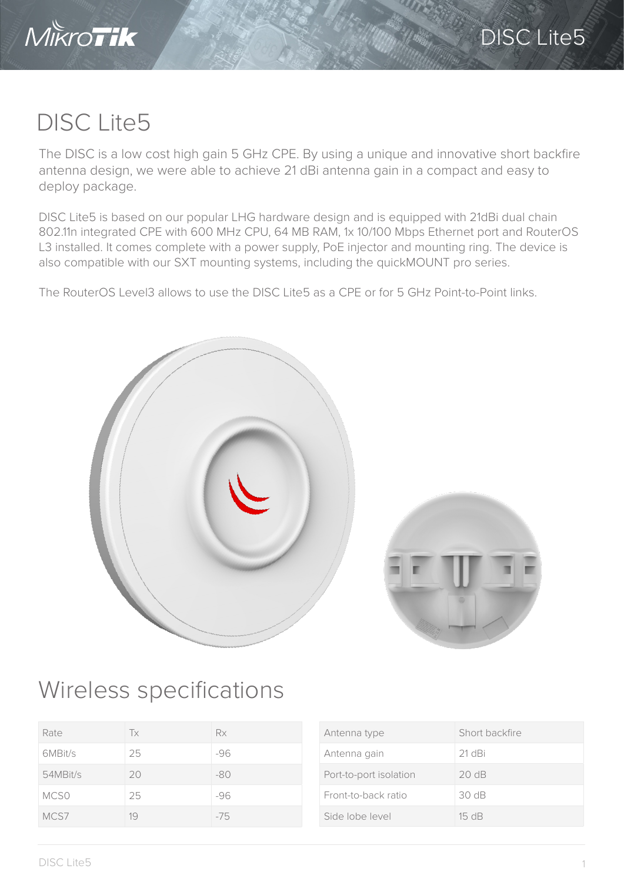

## DISC Lite5

The DISC is a low cost high gain 5 GHz CPE. By using a unique and innovative short backfire antenna design, we were able to achieve 21 dBi antenna gain in a compact and easy to deploy package.

DISC Lite5 is based on our popular LHG hardware design and is equipped with 21dBi dual chain 802.11n integrated CPE with 600 MHz CPU, 64 MB RAM, 1x 10/100 Mbps Ethernet port and RouterOS L3 installed. It comes complete with a power supply, PoE injector and mounting ring. The device is also compatible with our SXT mounting systems, including the quickMOUNT pro series.

The RouterOS Level3 allows to use the DISC Lite5 as a CPE or for 5 GHz Point-to-Point links.



## Wireless specifications

| Rate             | Tx | Rx    |
|------------------|----|-------|
| 6MBit/s          | 25 | $-96$ |
| 54MBit/s         | 20 | $-80$ |
| MCS <sub>0</sub> | 25 | $-96$ |
| MCS7             | 19 | $-75$ |

| Antenna type           | Short backfire  |
|------------------------|-----------------|
| Antenna gain           | 21 dBi          |
| Port-to-port isolation | 20dB            |
| Front-to-back ratio    | 30 dB           |
| Side Jobe Jevel        | $15 \text{ dB}$ |